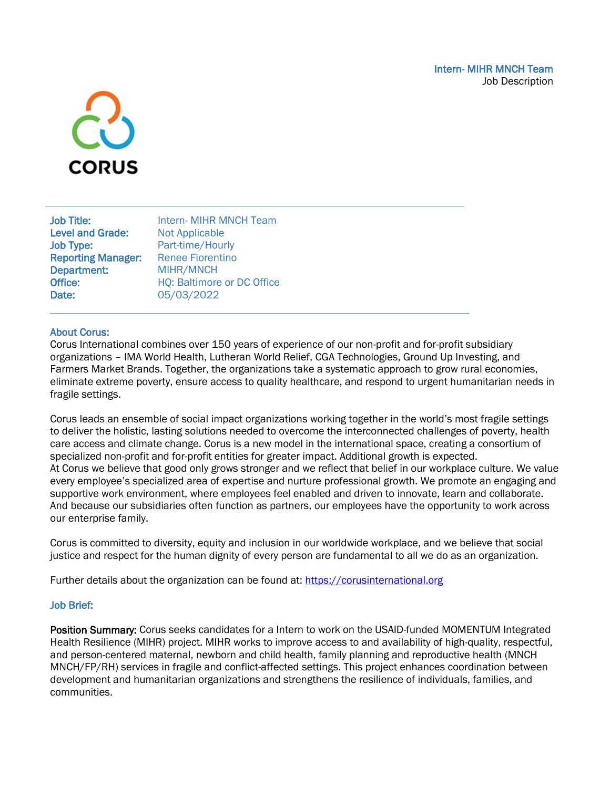

| <b>Job Title:</b>         | Intern- MIHR MNCH Team     |
|---------------------------|----------------------------|
| <b>Level and Grade:</b>   | <b>Not Applicable</b>      |
| <b>Job Type:</b>          | Part-time/Hourly           |
| <b>Reporting Manager:</b> | <b>Renee Fiorentino</b>    |
| <b>Department:</b>        | MIHR/MNCH                  |
| Office:                   | HQ: Baltimore or DC Office |
| Date:                     | 05/03/2022                 |
|                           |                            |

### About Corus:

Corus International combines over 150 years of experience of our non-profit and for-profit subsidiary organizations – IMA World Health, Lutheran World Relief, CGA Technologies, Ground Up Investing, and Farmers Market Brands. Together, the organizations take a systematic approach to grow rural economies, eliminate extreme poverty, ensure access to quality healthcare, and respond to urgent humanitarian needs in fragile settings.

Corus leads an ensemble of social impact organizations working together in the world's most fragile settings to deliver the holistic, lasting solutions needed to overcome the interconnected challenges of poverty, health care access and climate change. Corus is a new model in the international space, creating a consortium of specialized non-profit and for-profit entities for greater impact. Additional growth is expected. At Corus we believe that good only grows stronger and we reflect that belief in our workplace culture. We value every employee's specialized area of expertise and nurture professional growth. We promote an engaging and supportive work environment, where employees feel enabled and driven to innovate, learn and collaborate. And because our subsidiaries often function as partners, our employees have the opportunity to work across our enterprise family.

Corus is committed to diversity, equity and inclusion in our worldwide workplace, and we believe that social justice and respect for the human dignity of every person are fundamental to all we do as an organization.

Further details about the organization can be found at: [https://corusinternational.org](https://corusinternational.org/)

#### Job Brief:

Position Summary: Corus seeks candidates for a Intern to work on the USAID-funded MOMENTUM Integrated Health Resilience (MIHR) project. MIHR works to improve access to and availability of high-quality, respectful, and person-centered maternal, newborn and child health, family planning and reproductive health (MNCH MNCH/FP/RH) services in fragile and conflict-affected settings. This project enhances coordination between development and humanitarian organizations and strengthens the resilience of individuals, families, and communities.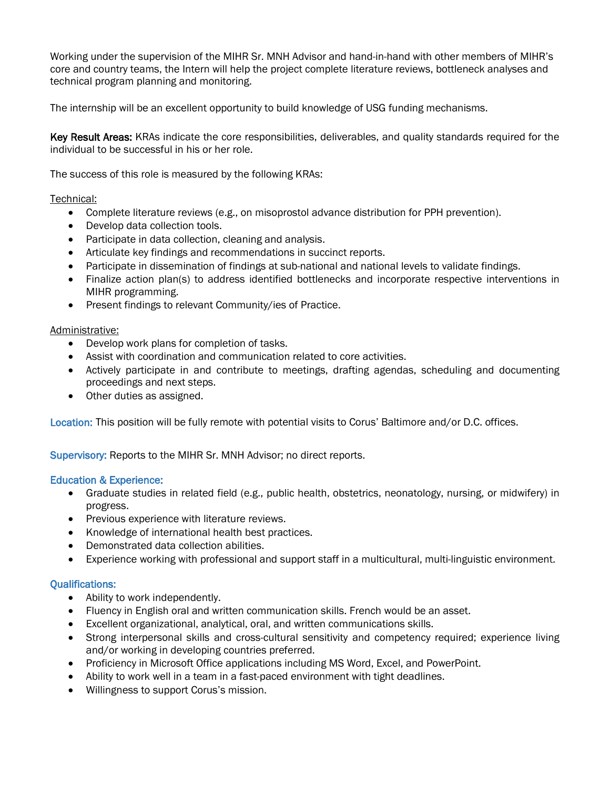Working under the supervision of the MIHR Sr. MNH Advisor and hand-in-hand with other members of MIHR's core and country teams, the Intern will help the project complete literature reviews, bottleneck analyses and technical program planning and monitoring.

The internship will be an excellent opportunity to build knowledge of USG funding mechanisms.

Key Result Areas: KRAs indicate the core responsibilities, deliverables, and quality standards required for the individual to be successful in his or her role.

The success of this role is measured by the following KRAs:

## Technical:

- Complete literature reviews (e.g., on misoprostol advance distribution for PPH prevention).
- Develop data collection tools.
- Participate in data collection, cleaning and analysis.
- Articulate key findings and recommendations in succinct reports.
- Participate in dissemination of findings at sub-national and national levels to validate findings.
- Finalize action plan(s) to address identified bottlenecks and incorporate respective interventions in MIHR programming.
- Present findings to relevant Community/ies of Practice.

### Administrative:

- Develop work plans for completion of tasks.
- Assist with coordination and communication related to core activities.
- Actively participate in and contribute to meetings, drafting agendas, scheduling and documenting proceedings and next steps.
- Other duties as assigned.

Location: This position will be fully remote with potential visits to Corus' Baltimore and/or D.C. offices.

Supervisory: Reports to the MIHR Sr. MNH Advisor; no direct reports.

### Education & Experience:

- Graduate studies in related field (e.g., public health, obstetrics, neonatology, nursing, or midwifery) in progress.
- Previous experience with literature reviews.
- Knowledge of international health best practices.
- Demonstrated data collection abilities.
- Experience working with professional and support staff in a multicultural, multi-linguistic environment.

### Qualifications:

- Ability to work independently.
- Fluency in English oral and written communication skills. French would be an asset.
- Excellent organizational, analytical, oral, and written communications skills.
- Strong interpersonal skills and cross-cultural sensitivity and competency required; experience living and/or working in developing countries preferred.
- Proficiency in Microsoft Office applications including MS Word, Excel, and PowerPoint.
- Ability to work well in a team in a fast-paced environment with tight deadlines.
- Willingness to support Corus's mission.